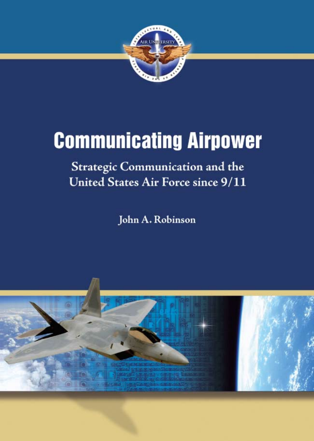

# **Communicating Airpower**

**Strategic Communication and the** United States Air Force since 9/11

John A. Robinson

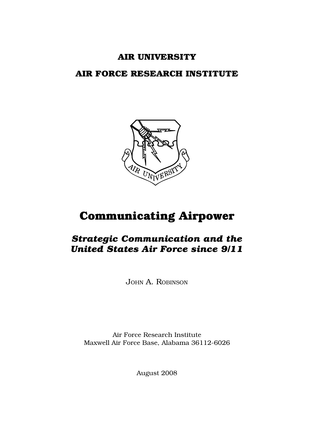# **Air University**

# **air force RESEARCH INSTITUTE**



# **Communicating Airpower**

# *Strategic Communication and the United States Air Force since 9/11*

John A. Robinson

Air Force Research Institute Maxwell Air Force Base, Alabama 36112-6026

August 2008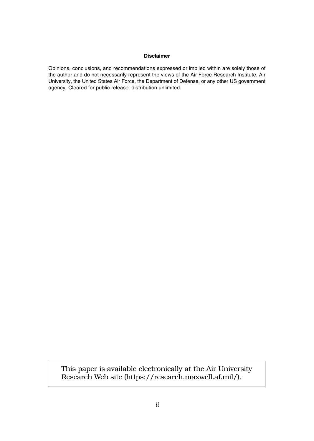#### **Disclaimer**

Opinions, conclusions, and recommendations expressed or implied within are solely those of the author and do not necessarily represent the views of the Air Force Research Institute, Air University, the United States Air Force, the Department of Defense, or any other US government agency. Cleared for public release: distribution unlimited.

This paper is available electronically at the Air University Research Web site (https://research.maxwell.af.mil/).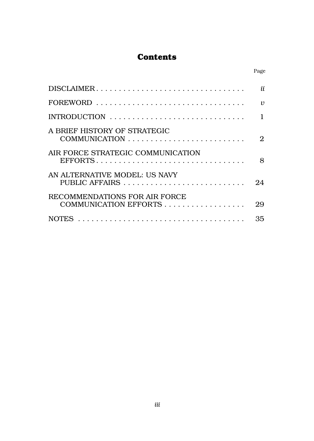# **Contents**

Page

| DISCLAIMER                                             | ii                  |
|--------------------------------------------------------|---------------------|
|                                                        | $\boldsymbol{\eta}$ |
| INTRODUCTION                                           | 1                   |
| A BRIEF HISTORY OF STRATEGIC                           | 2                   |
| AIR FORCE STRATEGIC COMMUNICATION<br>EFFORTS           | 8                   |
| AN ALTERNATIVE MODEL: US NAVY                          | 24                  |
| RECOMMENDATIONS FOR AIR FORCE<br>COMMUNICATION EFFORTS | 29                  |
|                                                        | 35                  |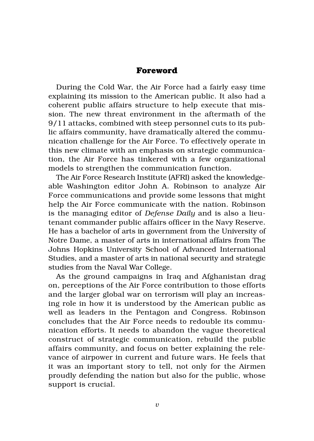## **Foreword**

During the Cold War, the Air Force had a fairly easy time explaining its mission to the American public. It also had a coherent public affairs structure to help execute that mission. The new threat environment in the aftermath of the 9/11 attacks, combined with steep personnel cuts to its public affairs community, have dramatically altered the communication challenge for the Air Force. To effectively operate in this new climate with an emphasis on strategic communication, the Air Force has tinkered with a few organizational models to strengthen the communication function.

The Air Force Research Institute (AFRI) asked the knowledgeable Washington editor John A. Robinson to analyze Air Force communications and provide some lessons that might help the Air Force communicate with the nation. Robinson is the managing editor of *Defense Daily* and is also a lieutenant commander public affairs officer in the Navy Reserve. He has a bachelor of arts in government from the University of Notre Dame, a master of arts in international affairs from The Johns Hopkins University School of Advanced International Studies, and a master of arts in national security and strategic studies from the Naval War College.

As the ground campaigns in Iraq and Afghanistan drag on, perceptions of the Air Force contribution to those efforts and the larger global war on terrorism will play an increasing role in how it is understood by the American public as well as leaders in the Pentagon and Congress. Robinson concludes that the Air Force needs to redouble its communication efforts. It needs to abandon the vague theoretical construct of strategic communication, rebuild the public affairs community, and focus on better explaining the relevance of airpower in current and future wars. He feels that it was an important story to tell, not only for the Airmen proudly defending the nation but also for the public, whose support is crucial.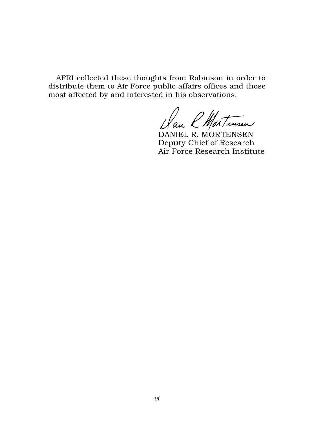AFRI collected these thoughts from Robinson in order to distribute them to Air Force public affairs offices and those most affected by and interested in his observations.

Lau L. Monteusen

Deputy Chief of Research Air Force Research Institute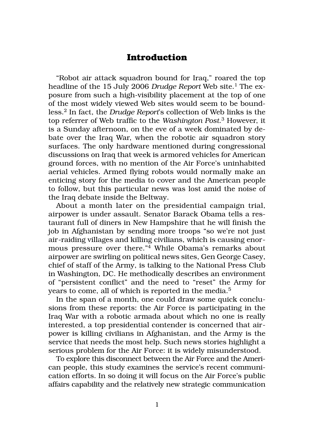# **Introduction**

"Robot air attack squadron bound for Iraq," roared the top headline of the 15 July 2006 *Drudge Report* Web site.<sup>1</sup> The exposure from such a high-visibility placement at the top of one of the most widely viewed Web sites would seem to be boundless.2 In fact, the *Drudge Report*'s collection of Web links is the top referrer of Web traffic to the *Washington Post*. 3 However, it is a Sunday afternoon, on the eve of a week dominated by debate over the Iraq War, when the robotic air squadron story surfaces. The only hardware mentioned during congressional discussions on Iraq that week is armored vehicles for American ground forces, with no mention of the Air Force's uninhabited aerial vehicles. Armed flying robots would normally make an enticing story for the media to cover and the American people to follow, but this particular news was lost amid the noise of the Iraq debate inside the Beltway.

About a month later on the presidential campaign trial, airpower is under assault. Senator Barack Obama tells a restaurant full of diners in New Hampshire that he will finish the job in Afghanistan by sending more troops "so we're not just air-raiding villages and killing civilians, which is causing enormous pressure over there."4 While Obama's remarks about airpower are swirling on political news sites, Gen George Casey, chief of staff of the Army, is talking to the National Press Club in Washington, DC. He methodically describes an environment of "persistent conflict" and the need to "reset" the Army for years to come, all of which is reported in the media.<sup>5</sup>

In the span of a month, one could draw some quick conclusions from these reports: the Air Force is participating in the Iraq War with a robotic armada about which no one is really interested, a top presidential contender is concerned that airpower is killing civilians in Afghanistan, and the Army is the service that needs the most help. Such news stories highlight a serious problem for the Air Force: it is widely misunderstood.

To explore this disconnect between the Air Force and the American people, this study examines the service's recent communication efforts. In so doing it will focus on the Air Force's public affairs capability and the relatively new strategic communication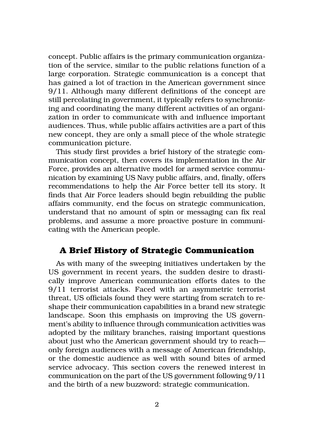concept. Public affairs is the primary communication organization of the service, similar to the public relations function of a large corporation. Strategic communication is a concept that has gained a lot of traction in the American government since 9/11. Although many different definitions of the concept are still percolating in government, it typically refers to synchronizing and coordinating the many different activities of an organization in order to communicate with and influence important audiences. Thus, while public affairs activities are a part of this new concept, they are only a small piece of the whole strategic communication picture.

This study first provides a brief history of the strategic communication concept, then covers its implementation in the Air Force, provides an alternative model for armed service communication by examining US Navy public affairs, and, finally, offers recommendations to help the Air Force better tell its story. It finds that Air Force leaders should begin rebuilding the public affairs community, end the focus on strategic communication, understand that no amount of spin or messaging can fix real problems, and assume a more proactive posture in communicating with the American people.

# **A Brief History of Strategic Communication**

As with many of the sweeping initiatives undertaken by the US government in recent years, the sudden desire to drastically improve American communication efforts dates to the 9/11 terrorist attacks. Faced with an asymmetric terrorist threat, US officials found they were starting from scratch to reshape their communication capabilities in a brand new strategic landscape. Soon this emphasis on improving the US government's ability to influence through communication activities was adopted by the military branches, raising important questions about just who the American government should try to reach only foreign audiences with a message of American friendship, or the domestic audience as well with sound bites of armed service advocacy. This section covers the renewed interest in communication on the part of the US government following 9/11 and the birth of a new buzzword: strategic communication.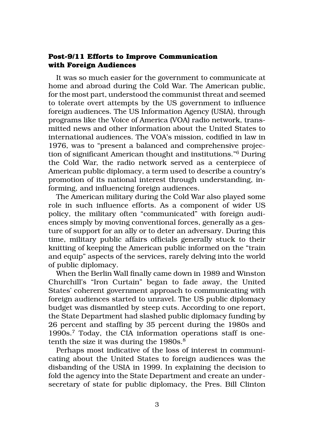## **Post-9/11 Efforts to Improve Communication with Foreign Audiences**

It was so much easier for the government to communicate at home and abroad during the Cold War. The American public, for the most part, understood the communist threat and seemed to tolerate overt attempts by the US government to influence foreign audiences. The US Information Agency (USIA), through programs like the Voice of America (VOA) radio network, transmitted news and other information about the United States to international audiences. The VOA's mission, codified in law in 1976, was to "present a balanced and comprehensive projection of significant American thought and institutions."6 During the Cold War, the radio network served as a centerpiece of American public diplomacy, a term used to describe a country's promotion of its national interest through understanding, informing, and influencing foreign audiences.

The American military during the Cold War also played some role in such influence efforts. As a component of wider US policy, the military often "communicated" with foreign audiences simply by moving conventional forces, generally as a gesture of support for an ally or to deter an adversary. During this time, military public affairs officials generally stuck to their knitting of keeping the American public informed on the "train and equip" aspects of the services, rarely delving into the world of public diplomacy.

When the Berlin Wall finally came down in 1989 and Winston Churchill's "Iron Curtain" began to fade away, the United States' coherent government approach to communicating with foreign audiences started to unravel. The US public diplomacy budget was dismantled by steep cuts. According to one report, the State Department had slashed public diplomacy funding by 26 percent and staffing by 35 percent during the 1980s and 1990s.7 Today, the CIA information operations staff is onetenth the size it was during the  $1980s$ .<sup>8</sup>

Perhaps most indicative of the loss of interest in communicating about the United States to foreign audiences was the disbanding of the USIA in 1999. In explaining the decision to fold the agency into the State Department and create an undersecretary of state for public diplomacy, the Pres. Bill Clinton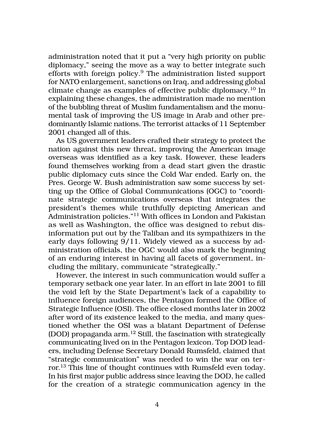administration noted that it put a "very high priority on public diplomacy," seeing the move as a way to better integrate such efforts with foreign policy.9 The administration listed support for NATO enlargement, sanctions on Iraq, and addressing global climate change as examples of effective public diplomacy.10 In explaining these changes, the administration made no mention of the bubbling threat of Muslim fundamentalism and the monumental task of improving the US image in Arab and other predominantly Islamic nations. The terrorist attacks of 11 September 2001 changed all of this.

As US government leaders crafted their strategy to protect the nation against this new threat, improving the American image overseas was identified as a key task. However, these leaders found themselves working from a dead start given the drastic public diplomacy cuts since the Cold War ended. Early on, the Pres. George W. Bush administration saw some success by setting up the Office of Global Communications (OGC) to "coordinate strategic communications overseas that integrates the president's themes while truthfully depicting American and Administration policies."11 With offices in London and Pakistan as well as Washington, the office was designed to rebut disinformation put out by the Taliban and its sympathizers in the early days following 9/11. Widely viewed as a success by administration officials, the OGC would also mark the beginning of an enduring interest in having all facets of government, including the military, communicate "strategically."

However, the interest in such communication would suffer a temporary setback one year later. In an effort in late 2001 to fill the void left by the State Department's lack of a capability to influence foreign audiences, the Pentagon formed the Office of Strategic Influence (OSI). The office closed months later in 2002 after word of its existence leaked to the media, and many questioned whether the OSI was a blatant Department of Defense (DOD) propaganda arm.12 Still, the fascination with strategically communicating lived on in the Pentagon lexicon. Top DOD leaders, including Defense Secretary Donald Rumsfeld, claimed that "strategic communication" was needed to win the war on terror.13 This line of thought continues with Rumsfeld even today. In his first major public address since leaving the DOD, he called for the creation of a strategic communication agency in the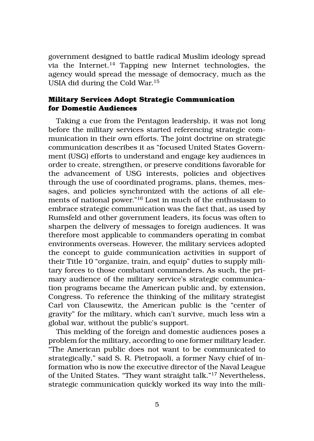government designed to battle radical Muslim ideology spread via the Internet.14 Tapping new Internet technologies, the agency would spread the message of democracy, much as the USIA did during the Cold War.15

# **Military Services Adopt Strategic Communication for Domestic Audiences**

Taking a cue from the Pentagon leadership, it was not long before the military services started referencing strategic communication in their own efforts. The joint doctrine on strategic communication describes it as "focused United States Government (USG) efforts to understand and engage key audiences in order to create, strengthen, or preserve conditions favorable for the advancement of USG interests, policies and objectives through the use of coordinated programs, plans, themes, messages, and policies synchronized with the actions of all elements of national power."16 Lost in much of the enthusiasm to embrace strategic communication was the fact that, as used by Rumsfeld and other government leaders, its focus was often to sharpen the delivery of messages to foreign audiences. It was therefore most applicable to commanders operating in combat environments overseas. However, the military services adopted the concept to guide communication activities in support of their Title 10 "organize, train, and equip" duties to supply military forces to those combatant commanders. As such, the primary audience of the military service's strategic communication programs became the American public and, by extension, Congress. To reference the thinking of the military strategist Carl von Clausewitz, the American public is the "center of gravity" for the military, which can't survive, much less win a global war, without the public's support.

This melding of the foreign and domestic audiences poses a problem for the military, according to one former military leader. "The American public does not want to be communicated to strategically," said S. R. Pietropaoli, a former Navy chief of information who is now the executive director of the Naval League of the United States. "They want straight talk."17 Nevertheless, strategic communication quickly worked its way into the mili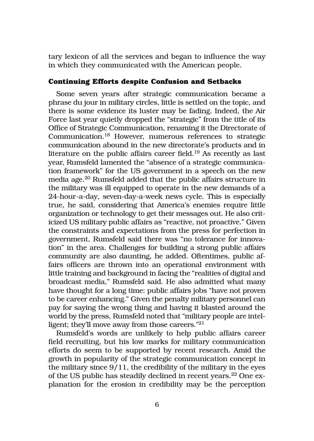tary lexicon of all the services and began to influence the way in which they communicated with the American people.

## **Continuing Efforts despite Confusion and Setbacks**

Some seven years after strategic communication became a phrase du jour in military circles, little is settled on the topic, and there is some evidence its luster may be fading. Indeed, the Air Force last year quietly dropped the "strategic" from the title of its Office of Strategic Communication, renaming it the Directorate of Communication.18 However, numerous references to strategic communication abound in the new directorate's products and in literature on the public affairs career field.<sup>19</sup> As recently as last year, Rumsfeld lamented the "absence of a strategic communication framework" for the US government in a speech on the new media age.20 Rumsfeld added that the public affairs structure in the military was ill equipped to operate in the new demands of a 24-hour-a-day, seven-day-a-week news cycle. This is especially true, he said, considering that America's enemies require little organization or technology to get their messages out. He also criticized US military public affairs as "reactive, not proactive." Given the constraints and expectations from the press for perfection in government, Rumsfeld said there was "no tolerance for innovation" in the area. Challenges for building a strong public affairs community are also daunting, he added. Oftentimes, public affairs officers are thrown into an operational environment with little training and background in facing the "realities of digital and broadcast media," Rumsfeld said. He also admitted what many have thought for a long time: public affairs jobs "have not proven to be career enhancing." Given the penalty military personnel can pay for saying the wrong thing and having it blasted around the world by the press, Rumsfeld noted that "military people are intelligent; they'll move away from those careers."<sup>21</sup>

Rumsfeld's words are unlikely to help public affairs career field recruiting, but his low marks for military communication efforts do seem to be supported by recent research. Amid the growth in popularity of the strategic communication concept in the military since 9/11, the credibility of the military in the eyes of the US public has steadily declined in recent years.<sup>22</sup> One explanation for the erosion in credibility may be the perception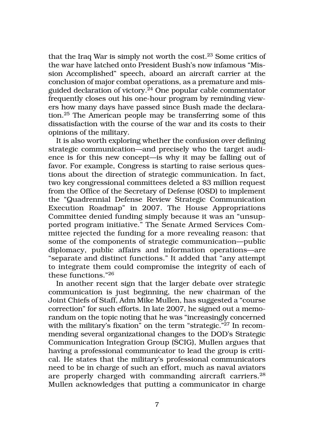that the Iraq War is simply not worth the cost.23 Some critics of the war have latched onto President Bush's now infamous "Mission Accomplished" speech, aboard an aircraft carrier at the conclusion of major combat operations, as a premature and misguided declaration of victory.24 One popular cable commentator frequently closes out his one-hour program by reminding viewers how many days have passed since Bush made the declaration.25 The American people may be transferring some of this dissatisfaction with the course of the war and its costs to their opinions of the military.

It is also worth exploring whether the confusion over defining strategic communication—and precisely who the target audience is for this new concept—is why it may be falling out of favor. For example, Congress is starting to raise serious questions about the direction of strategic communication. In fact, two key congressional committees deleted a \$3 million request from the Office of the Secretary of Defense (OSD) to implement the "Quadrennial Defense Review Strategic Communication Execution Roadmap" in 2007. The House Appropriations Committee denied funding simply because it was an "unsupported program initiative." The Senate Armed Services Committee rejected the funding for a more revealing reason: that some of the components of strategic communication—public diplomacy, public affairs and information operations—are "separate and distinct functions." It added that "any attempt to integrate them could compromise the integrity of each of these functions."26

In another recent sign that the larger debate over strategic communication is just beginning, the new chairman of the Joint Chiefs of Staff, Adm Mike Mullen, has suggested a "course correction" for such efforts. In late 2007, he signed out a memorandum on the topic noting that he was "increasingly concerned with the military's fixation" on the term "strategic."<sup>27</sup> In recommending several organizational changes to the DOD's Strategic Communication Integration Group (SCIG), Mullen argues that having a professional communicator to lead the group is critical. He states that the military's professional communicators need to be in charge of such an effort, much as naval aviators are properly charged with commanding aircraft carriers.<sup>28</sup> Mullen acknowledges that putting a communicator in charge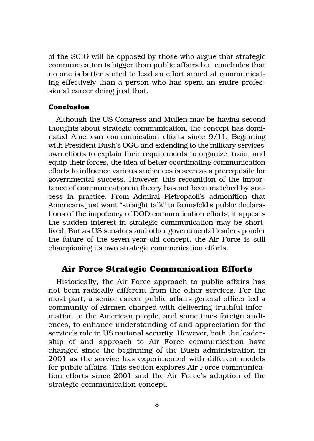of the SCIG will be opposed by those who argue that strategic communication is bigger than public affairs but concludes that no one is better suited to lead an effort aimed at communicating effectively than a person who has spent an entire professional career doing just that.

#### **Conclusion**

Although the US Congress and Mullen may be having second thoughts about strategic communication, the concept has dominated American communication efforts since 9/11. Beginning with President Bush's OGC and extending to the military services' own efforts to explain their requirements to organize, train, and equip their forces, the idea of better coordinating communication efforts to influence various audiences is seen as a prerequisite for governmental success. However, this recognition of the importance of communication in theory has not been matched by success in practice. From Admiral Pietropaoli's admonition that Americans just want "straight talk" to Rumsfeld's public declarations of the impotency of DOD communication efforts, it appears the sudden interest in strategic communication may be shortlived. But as US senators and other governmental leaders ponder the future of the seven-year-old concept, the Air Force is still championing its own strategic communication efforts.

## **Air Force Strategic Communication Efforts**

Historically, the Air Force approach to public affairs has not been radically different from the other services. For the most part, a senior career public affairs general officer led a community of Airmen charged with delivering truthful information to the American people, and sometimes foreign audiences, to enhance understanding of and appreciation for the service's role in US national security. However, both the leadership of and approach to Air Force communication have changed since the beginning of the Bush administration in 2001 as the service has experimented with different models for public affairs. This section explores Air Force communication efforts since 2001 and the Air Force's adoption of the strategic communication concept.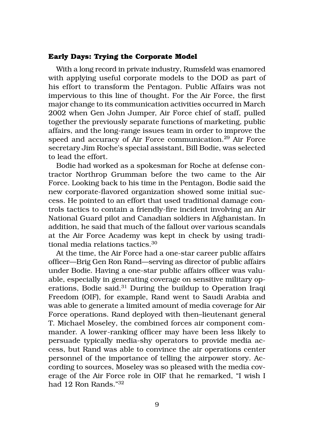#### **Early Days: Trying the Corporate Model**

With a long record in private industry, Rumsfeld was enamored with applying useful corporate models to the DOD as part of his effort to transform the Pentagon. Public Affairs was not impervious to this line of thought. For the Air Force, the first major change to its communication activities occurred in March 2002 when Gen John Jumper, Air Force chief of staff, pulled together the previously separate functions of marketing, public affairs, and the long-range issues team in order to improve the speed and accuracy of Air Force communication.<sup>29</sup> Air Force secretary Jim Roche's special assistant, Bill Bodie, was selected to lead the effort.

Bodie had worked as a spokesman for Roche at defense contractor Northrop Grumman before the two came to the Air Force. Looking back to his time in the Pentagon, Bodie said the new corporate-flavored organization showed some initial success. He pointed to an effort that used traditional damage controls tactics to contain a friendly-fire incident involving an Air National Guard pilot and Canadian soldiers in Afghanistan. In addition, he said that much of the fallout over various scandals at the Air Force Academy was kept in check by using traditional media relations tactics.30

At the time, the Air Force had a one-star career public affairs officer—Brig Gen Ron Rand—serving as director of public affairs under Bodie. Having a one-star public affairs officer was valuable, especially in generating coverage on sensitive military operations, Bodie said.31 During the buildup to Operation Iraqi Freedom (OIF), for example, Rand went to Saudi Arabia and was able to generate a limited amount of media coverage for Air Force operations. Rand deployed with then–lieutenant general T. Michael Moseley, the combined forces air component commander. A lower-ranking officer may have been less likely to persuade typically media-shy operators to provide media access, but Rand was able to convince the air operations center personnel of the importance of telling the airpower story. According to sources, Moseley was so pleased with the media coverage of the Air Force role in OIF that he remarked, "I wish I had 12 Ron Rands."32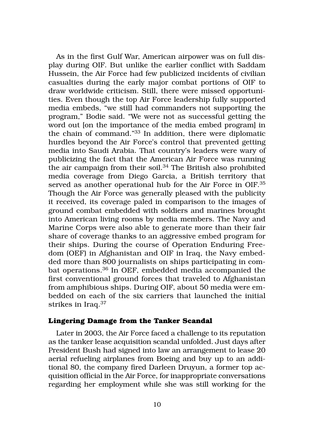As in the first Gulf War, American airpower was on full display during OIF. But unlike the earlier conflict with Saddam Hussein, the Air Force had few publicized incidents of civilian casualties during the early major combat portions of OIF to draw worldwide criticism. Still, there were missed opportunities. Even though the top Air Force leadership fully supported media embeds, "we still had commanders not supporting the program," Bodie said. "We were not as successful getting the word out [on the importance of the media embed program] in the chain of command."33 In addition, there were diplomatic hurdles beyond the Air Force's control that prevented getting media into Saudi Arabia. That country's leaders were wary of publicizing the fact that the American Air Force was running the air campaign from their soil.34 The British also prohibited media coverage from Diego Garcia, a British territory that served as another operational hub for the Air Force in OIF.35 Though the Air Force was generally pleased with the publicity it received, its coverage paled in comparison to the images of ground combat embedded with soldiers and marines brought into American living rooms by media members. The Navy and Marine Corps were also able to generate more than their fair share of coverage thanks to an aggressive embed program for their ships. During the course of Operation Enduring Freedom (OEF) in Afghanistan and OIF in Iraq, the Navy embedded more than 800 journalists on ships participating in combat operations.36 In OEF, embedded media accompanied the first conventional ground forces that traveled to Afghanistan from amphibious ships. During OIF, about 50 media were embedded on each of the six carriers that launched the initial strikes in Iraq.<sup>37</sup>

#### **Lingering Damage from the Tanker Scandal**

Later in 2003, the Air Force faced a challenge to its reputation as the tanker lease acquisition scandal unfolded. Just days after President Bush had signed into law an arrangement to lease 20 aerial refueling airplanes from Boeing and buy up to an additional 80, the company fired Darleen Druyun, a former top acquisition official in the Air Force, for inappropriate conversations regarding her employment while she was still working for the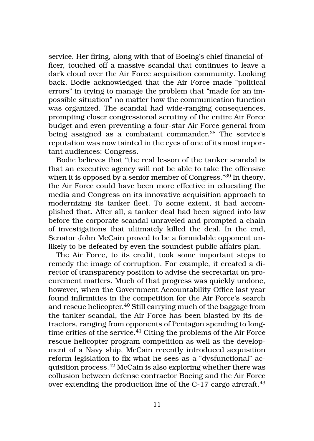service. Her firing, along with that of Boeing's chief financial officer, touched off a massive scandal that continues to leave a dark cloud over the Air Force acquisition community. Looking back, Bodie acknowledged that the Air Force made "political errors" in trying to manage the problem that "made for an impossible situation" no matter how the communication function was organized. The scandal had wide-ranging consequences, prompting closer congressional scrutiny of the entire Air Force budget and even preventing a four-star Air Force general from being assigned as a combatant commander.<sup>38</sup> The service's reputation was now tainted in the eyes of one of its most important audiences: Congress.

Bodie believes that "the real lesson of the tanker scandal is that an executive agency will not be able to take the offensive when it is opposed by a senior member of Congress."<sup>39</sup> In theory, the Air Force could have been more effective in educating the media and Congress on its innovative acquisition approach to modernizing its tanker fleet. To some extent, it had accomplished that. After all, a tanker deal had been signed into law before the corporate scandal unraveled and prompted a chain of investigations that ultimately killed the deal. In the end, Senator John McCain proved to be a formidable opponent unlikely to be defeated by even the soundest public affairs plan.

The Air Force, to its credit, took some important steps to remedy the image of corruption. For example, it created a director of transparency position to advise the secretariat on procurement matters. Much of that progress was quickly undone, however, when the Government Accountability Office last year found infirmities in the competition for the Air Force's search and rescue helicopter.<sup>40</sup> Still carrying much of the baggage from the tanker scandal, the Air Force has been blasted by its detractors, ranging from opponents of Pentagon spending to longtime critics of the service.<sup>41</sup> Citing the problems of the Air Force rescue helicopter program competition as well as the development of a Navy ship, McCain recently introduced acquisition reform legislation to fix what he sees as a "dysfunctional" acquisition process.42 McCain is also exploring whether there was collusion between defense contractor Boeing and the Air Force over extending the production line of the C-17 cargo aircraft.43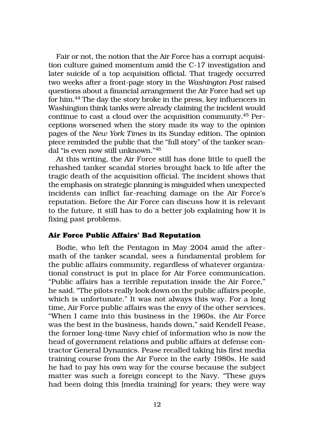Fair or not, the notion that the Air Force has a corrupt acquisition culture gained momentum amid the C-17 investigation and later suicide of a top acquisition official. That tragedy occurred two weeks after a front-page story in the *Washington Post* raised questions about a financial arrangement the Air Force had set up for him.44 The day the story broke in the press, key influencers in Washington think tanks were already claiming the incident would continue to cast a cloud over the acquisition community.45 Perceptions worsened when the story made its way to the opinion pages of the *New York Times* in its Sunday edition. The opinion piece reminded the public that the "full story" of the tanker scandal "is even now still unknown."46

At this writing, the Air Force still has done little to quell the rehashed tanker scandal stories brought back to life after the tragic death of the acquisition official. The incident shows that the emphasis on strategic planning is misguided when unexpected incidents can inflict far-reaching damage on the Air Force's reputation. Before the Air Force can discuss how it is relevant to the future, it still has to do a better job explaining how it is fixing past problems.

#### **Air Force Public Affairs' Bad Reputation**

Bodie, who left the Pentagon in May 2004 amid the aftermath of the tanker scandal, sees a fundamental problem for the public affairs community, regardless of whatever organizational construct is put in place for Air Force communication. "Public affairs has a terrible reputation inside the Air Force," he said. "The pilots really look down on the public affairs people, which is unfortunate." It was not always this way. For a long time, Air Force public affairs was the envy of the other services. "When I came into this business in the 1960s, the Air Force was the best in the business, hands down," said Kendell Pease, the former long-time Navy chief of information who is now the head of government relations and public affairs at defense contractor General Dynamics. Pease recalled taking his first media training course from the Air Force in the early 1980s. He said he had to pay his own way for the course because the subject matter was such a foreign concept to the Navy. "These guys had been doing this [media training] for years; they were way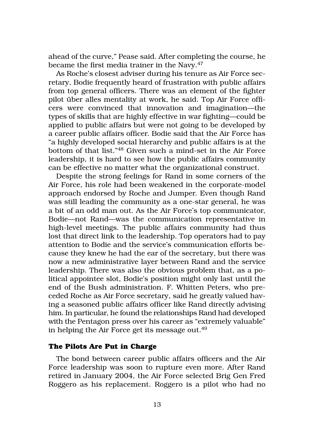ahead of the curve," Pease said. After completing the course, he became the first media trainer in the Navy.47

As Roche's closest adviser during his tenure as Air Force secretary, Bodie frequently heard of frustration with public affairs from top general officers. There was an element of the fighter pilot über alles mentality at work, he said. Top Air Force officers were convinced that innovation and imagination—the types of skills that are highly effective in war fighting—could be applied to public affairs but were not going to be developed by a career public affairs officer. Bodie said that the Air Force has "a highly developed social hierarchy and public affairs is at the bottom of that list."48 Given such a mind-set in the Air Force leadership, it is hard to see how the public affairs community can be effective no matter what the organizational construct.

Despite the strong feelings for Rand in some corners of the Air Force, his role had been weakened in the corporate-model approach endorsed by Roche and Jumper. Even though Rand was still leading the community as a one-star general, he was a bit of an odd man out. As the Air Force's top communicator, Bodie—not Rand—was the communication representative in high-level meetings. The public affairs community had thus lost that direct link to the leadership. Top operators had to pay attention to Bodie and the service's communication efforts because they knew he had the ear of the secretary, but there was now a new administrative layer between Rand and the service leadership. There was also the obvious problem that, as a political appointee slot, Bodie's position might only last until the end of the Bush administration. F. Whitten Peters, who preceded Roche as Air Force secretary, said he greatly valued having a seasoned public affairs officer like Rand directly advising him. In particular, he found the relationships Rand had developed with the Pentagon press over his career as "extremely valuable" in helping the Air Force get its message out.49

#### **The Pilots Are Put in Charge**

The bond between career public affairs officers and the Air Force leadership was soon to rupture even more. After Rand retired in January 2004, the Air Force selected Brig Gen Fred Roggero as his replacement. Roggero is a pilot who had no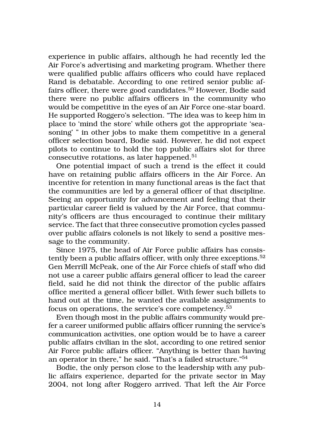experience in public affairs, although he had recently led the Air Force's advertising and marketing program. Whether there were qualified public affairs officers who could have replaced Rand is debatable. According to one retired senior public affairs officer, there were good candidates.50 However, Bodie said there were no public affairs officers in the community who would be competitive in the eyes of an Air Force one-star board. He supported Roggero's selection. "The idea was to keep him in place to 'mind the store' while others got the appropriate 'seasoning' " in other jobs to make them competitive in a general officer selection board, Bodie said. However, he did not expect pilots to continue to hold the top public affairs slot for three consecutive rotations, as later happened.<sup>51</sup>

One potential impact of such a trend is the effect it could have on retaining public affairs officers in the Air Force. An incentive for retention in many functional areas is the fact that the communities are led by a general officer of that discipline. Seeing an opportunity for advancement and feeling that their particular career field is valued by the Air Force, that community's officers are thus encouraged to continue their military service. The fact that three consecutive promotion cycles passed over public affairs colonels is not likely to send a positive message to the community.

Since 1975, the head of Air Force public affairs has consistently been a public affairs officer, with only three exceptions.<sup>52</sup> Gen Merrill McPeak, one of the Air Force chiefs of staff who did not use a career public affairs general officer to lead the career field, said he did not think the director of the public affairs office merited a general officer billet. With fewer such billets to hand out at the time, he wanted the available assignments to focus on operations, the service's core competency.53

Even though most in the public affairs community would prefer a career uniformed public affairs officer running the service's communication activities, one option would be to have a career public affairs civilian in the slot, according to one retired senior Air Force public affairs officer. "Anything is better than having an operator in there," he said. "That's a failed structure."54

Bodie, the only person close to the leadership with any public affairs experience, departed for the private sector in May 2004, not long after Roggero arrived. That left the Air Force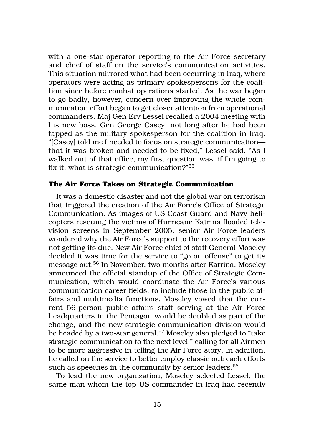with a one-star operator reporting to the Air Force secretary and chief of staff on the service's communication activities. This situation mirrored what had been occurring in Iraq, where operators were acting as primary spokespersons for the coalition since before combat operations started. As the war began to go badly, however, concern over improving the whole communication effort began to get closer attention from operational commanders. Maj Gen Erv Lessel recalled a 2004 meeting with his new boss, Gen George Casey, not long after he had been tapped as the military spokesperson for the coalition in Iraq. "[Casey] told me I needed to focus on strategic communication that it was broken and needed to be fixed," Lessel said. "As I walked out of that office, my first question was, if I'm going to fix it, what is strategic communication?"55

#### **The Air Force Takes on Strategic Communication**

It was a domestic disaster and not the global war on terrorism that triggered the creation of the Air Force's Office of Strategic Communication. As images of US Coast Guard and Navy helicopters rescuing the victims of Hurricane Katrina flooded television screens in September 2005, senior Air Force leaders wondered why the Air Force's support to the recovery effort was not getting its due. New Air Force chief of staff General Moseley decided it was time for the service to "go on offense" to get its message out.56 In November, two months after Katrina, Moseley announced the official standup of the Office of Strategic Communication, which would coordinate the Air Force's various communication career fields, to include those in the public affairs and multimedia functions. Moseley vowed that the current 56-person public affairs staff serving at the Air Force headquarters in the Pentagon would be doubled as part of the change, and the new strategic communication division would be headed by a two-star general.<sup>57</sup> Moseley also pledged to "take strategic communication to the next level," calling for all Airmen to be more aggressive in telling the Air Force story. In addition, he called on the service to better employ classic outreach efforts such as speeches in the community by senior leaders.<sup>58</sup>

To lead the new organization, Moseley selected Lessel, the same man whom the top US commander in Iraq had recently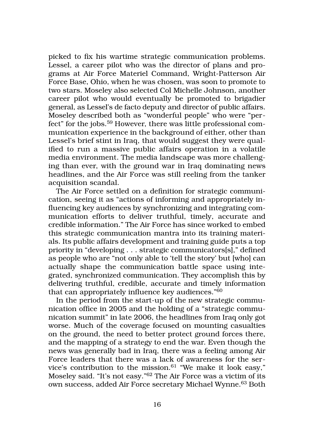picked to fix his wartime strategic communication problems. Lessel, a career pilot who was the director of plans and programs at Air Force Materiel Command, Wright-Patterson Air Force Base, Ohio, when he was chosen, was soon to promote to two stars. Moseley also selected Col Michelle Johnson, another career pilot who would eventually be promoted to brigadier general, as Lessel's de facto deputy and director of public affairs. Moseley described both as "wonderful people" who were "perfect" for the jobs.59 However, there was little professional communication experience in the background of either, other than Lessel's brief stint in Iraq, that would suggest they were qualified to run a massive public affairs operation in a volatile media environment. The media landscape was more challenging than ever, with the ground war in Iraq dominating news headlines, and the Air Force was still reeling from the tanker acquisition scandal.

The Air Force settled on a definition for strategic communication, seeing it as "actions of informing and appropriately influencing key audiences by synchronizing and integrating communication efforts to deliver truthful, timely, accurate and credible information." The Air Force has since worked to embed this strategic communication mantra into its training materials. Its public affairs development and training guide puts a top priority in "developing . . . strategic communicators[s]," defined as people who are "not only able to 'tell the story' but [who] can actually shape the communication battle space using integrated, synchronized communication. They accomplish this by delivering truthful, credible, accurate and timely information that can appropriately influence key audiences."60

In the period from the start-up of the new strategic communication office in 2005 and the holding of a "strategic communication summit" in late 2006, the headlines from Iraq only got worse. Much of the coverage focused on mounting casualties on the ground, the need to better protect ground forces there, and the mapping of a strategy to end the war. Even though the news was generally bad in Iraq, there was a feeling among Air Force leaders that there was a lack of awareness for the service's contribution to the mission. $61$  "We make it look easy," Moseley said. "It's not easy."62 The Air Force was a victim of its own success, added Air Force secretary Michael Wynne.<sup>63</sup> Both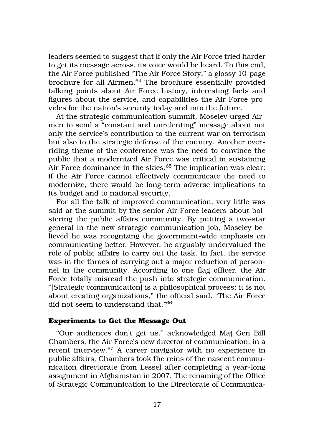leaders seemed to suggest that if only the Air Force tried harder to get its message across, its voice would be heard. To this end, the Air Force published "The Air Force Story," a glossy 10-page brochure for all Airmen.64 The brochure essentially provided talking points about Air Force history, interesting facts and figures about the service, and capabilities the Air Force provides for the nation's security today and into the future.

At the strategic communication summit, Moseley urged Airmen to send a "constant and unrelenting" message about not only the service's contribution to the current war on terrorism but also to the strategic defense of the country. Another overriding theme of the conference was the need to convince the public that a modernized Air Force was critical in sustaining Air Force dominance in the skies.<sup>65</sup> The implication was clear: if the Air Force cannot effectively communicate the need to modernize, there would be long-term adverse implications to its budget and to national security.

For all the talk of improved communication, very little was said at the summit by the senior Air Force leaders about bolstering the public affairs community. By putting a two-star general in the new strategic communication job, Moseley believed he was recognizing the government-wide emphasis on communicating better. However, he arguably undervalued the role of public affairs to carry out the task. In fact, the service was in the throes of carrying out a major reduction of personnel in the community. According to one flag officer, the Air Force totally misread the push into strategic communication. "[Strategic communication] is a philosophical process; it is not about creating organizations," the official said. "The Air Force did not seem to understand that."66

#### **Experiments to Get the Message Out**

"Our audiences don't get us," acknowledged Maj Gen Bill Chambers, the Air Force's new director of communication, in a recent interview.67 A career navigator with no experience in public affairs, Chambers took the reins of the nascent communication directorate from Lessel after completing a year-long assignment in Afghanistan in 2007. The renaming of the Office of Strategic Communication to the Directorate of Communica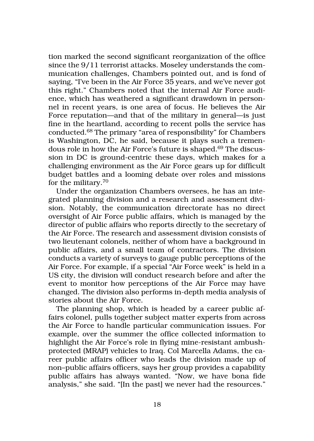tion marked the second significant reorganization of the office since the 9/11 terrorist attacks. Moseley understands the communication challenges, Chambers pointed out, and is fond of saying, "I've been in the Air Force 35 years, and we've never got this right." Chambers noted that the internal Air Force audience, which has weathered a significant drawdown in personnel in recent years, is one area of focus. He believes the Air Force reputation—and that of the military in general—is just fine in the heartland, according to recent polls the service has conducted.68 The primary "area of responsibility" for Chambers is Washington, DC, he said, because it plays such a tremendous role in how the Air Force's future is shaped.<sup>69</sup> The discussion in DC is ground-centric these days, which makes for a challenging environment as the Air Force gears up for difficult budget battles and a looming debate over roles and missions for the military.70

Under the organization Chambers oversees, he has an integrated planning division and a research and assessment division. Notably, the communication directorate has no direct oversight of Air Force public affairs, which is managed by the director of public affairs who reports directly to the secretary of the Air Force. The research and assessment division consists of two lieutenant colonels, neither of whom have a background in public affairs, and a small team of contractors. The division conducts a variety of surveys to gauge public perceptions of the Air Force. For example, if a special "Air Force week" is held in a US city, the division will conduct research before and after the event to monitor how perceptions of the Air Force may have changed. The division also performs in-depth media analysis of stories about the Air Force.

The planning shop, which is headed by a career public affairs colonel, pulls together subject matter experts from across the Air Force to handle particular communication issues. For example, over the summer the office collected information to highlight the Air Force's role in flying mine-resistant ambushprotected (MRAP) vehicles to Iraq. Col Marcella Adams, the career public affairs officer who leads the division made up of non–public affairs officers, says her group provides a capability public affairs has always wanted. "Now, we have bona fide analysis," she said. "[In the past] we never had the resources."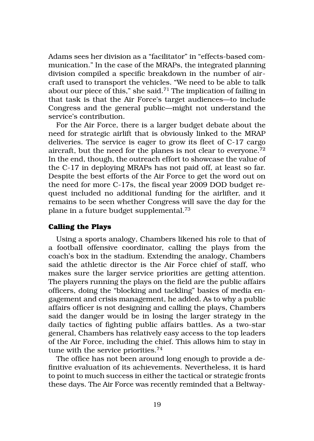Adams sees her division as a "facilitator" in "effects-based communication." In the case of the MRAPs, the integrated planning division compiled a specific breakdown in the number of aircraft used to transport the vehicles. "We need to be able to talk about our piece of this," she said.<sup>71</sup> The implication of failing in that task is that the Air Force's target audiences—to include Congress and the general public—might not understand the service's contribution.

For the Air Force, there is a larger budget debate about the need for strategic airlift that is obviously linked to the MRAP deliveries. The service is eager to grow its fleet of C-17 cargo aircraft, but the need for the planes is not clear to everyone.<sup>72</sup> In the end, though, the outreach effort to showcase the value of the C-17 in deploying MRAPs has not paid off, at least so far. Despite the best efforts of the Air Force to get the word out on the need for more C-17s, the fiscal year 2009 DOD budget request included no additional funding for the airlifter, and it remains to be seen whether Congress will save the day for the plane in a future budget supplemental.73

#### **Calling the Plays**

Using a sports analogy, Chambers likened his role to that of a football offensive coordinator, calling the plays from the coach's box in the stadium. Extending the analogy, Chambers said the athletic director is the Air Force chief of staff, who makes sure the larger service priorities are getting attention. The players running the plays on the field are the public affairs officers, doing the "blocking and tackling" basics of media engagement and crisis management, he added. As to why a public affairs officer is not designing and calling the plays, Chambers said the danger would be in losing the larger strategy in the daily tactics of fighting public affairs battles. As a two-star general, Chambers has relatively easy access to the top leaders of the Air Force, including the chief. This allows him to stay in tune with the service priorities.<sup>74</sup>

The office has not been around long enough to provide a definitive evaluation of its achievements. Nevertheless, it is hard to point to much success in either the tactical or strategic fronts these days. The Air Force was recently reminded that a Beltway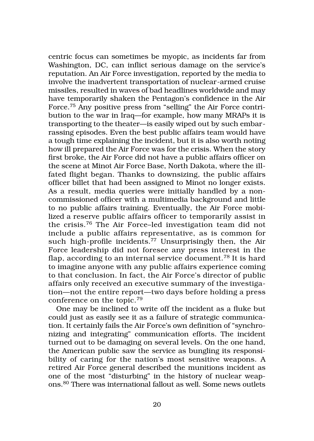centric focus can sometimes be myopic, as incidents far from Washington, DC, can inflict serious damage on the service's reputation. An Air Force investigation, reported by the media to involve the inadvertent transportation of nuclear-armed cruise missiles, resulted in waves of bad headlines worldwide and may have temporarily shaken the Pentagon's confidence in the Air Force.75 Any positive press from "selling" the Air Force contribution to the war in Iraq—for example, how many MRAPs it is transporting to the theater—is easily wiped out by such embarrassing episodes. Even the best public affairs team would have a tough time explaining the incident, but it is also worth noting how ill prepared the Air Force was for the crisis. When the story first broke, the Air Force did not have a public affairs officer on the scene at Minot Air Force Base, North Dakota, where the illfated flight began. Thanks to downsizing, the public affairs officer billet that had been assigned to Minot no longer exists. As a result, media queries were initially handled by a noncommissioned officer with a multimedia background and little to no public affairs training. Eventually, the Air Force mobilized a reserve public affairs officer to temporarily assist in the crisis.76 The Air Force–led investigation team did not include a public affairs representative, as is common for such high-profile incidents.<sup>77</sup> Unsurprisingly then, the Air Force leadership did not foresee any press interest in the flap, according to an internal service document.<sup>78</sup> It is hard to imagine anyone with any public affairs experience coming to that conclusion. In fact, the Air Force's director of public affairs only received an executive summary of the investigation—not the entire report—two days before holding a press conference on the topic.79

One may be inclined to write off the incident as a fluke but could just as easily see it as a failure of strategic communication. It certainly fails the Air Force's own definition of "synchronizing and integrating" communication efforts. The incident turned out to be damaging on several levels. On the one hand, the American public saw the service as bungling its responsibility of caring for the nation's most sensitive weapons. A retired Air Force general described the munitions incident as one of the most "disturbing" in the history of nuclear weapons.80 There was international fallout as well. Some news outlets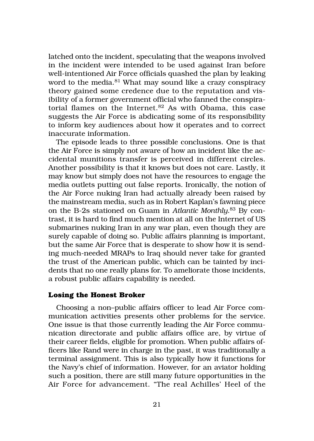latched onto the incident, speculating that the weapons involved in the incident were intended to be used against Iran before well-intentioned Air Force officials quashed the plan by leaking word to the media.<sup>81</sup> What may sound like a crazy conspiracy theory gained some credence due to the reputation and visibility of a former government official who fanned the conspiratorial flames on the Internet.<sup>82</sup> As with Obama, this case suggests the Air Force is abdicating some of its responsibility to inform key audiences about how it operates and to correct inaccurate information.

The episode leads to three possible conclusions. One is that the Air Force is simply not aware of how an incident like the accidental munitions transfer is perceived in different circles. Another possibility is that it knows but does not care. Lastly, it may know but simply does not have the resources to engage the media outlets putting out false reports. Ironically, the notion of the Air Force nuking Iran had actually already been raised by the mainstream media, such as in Robert Kaplan's fawning piece on the B-2s stationed on Guam in *Atlantic Monthly*. 83 By contrast, it is hard to find much mention at all on the Internet of US submarines nuking Iran in any war plan, even though they are surely capable of doing so. Public affairs planning is important, but the same Air Force that is desperate to show how it is sending much-needed MRAPs to Iraq should never take for granted the trust of the American public, which can be tainted by incidents that no one really plans for. To ameliorate those incidents, a robust public affairs capability is needed.

#### **Losing the Honest Broker**

Choosing a non–public affairs officer to lead Air Force communication activities presents other problems for the service. One issue is that those currently leading the Air Force communication directorate and public affairs office are, by virtue of their career fields, eligible for promotion. When public affairs officers like Rand were in charge in the past, it was traditionally a terminal assignment. This is also typically how it functions for the Navy's chief of information. However, for an aviator holding such a position, there are still many future opportunities in the Air Force for advancement. "The real Achilles' Heel of the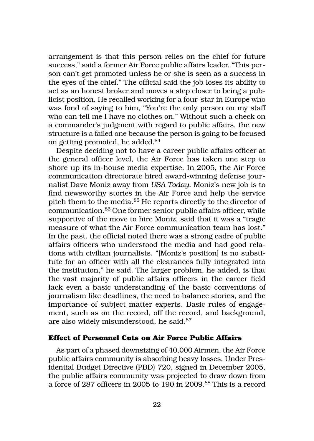arrangement is that this person relies on the chief for future success," said a former Air Force public affairs leader. "This person can't get promoted unless he or she is seen as a success in the eyes of the chief." The official said the job loses its ability to act as an honest broker and moves a step closer to being a publicist position. He recalled working for a four-star in Europe who was fond of saying to him, "You're the only person on my staff who can tell me I have no clothes on." Without such a check on a commander's judgment with regard to public affairs, the new structure is a failed one because the person is going to be focused on getting promoted, he added.84

Despite deciding not to have a career public affairs officer at the general officer level, the Air Force has taken one step to shore up its in-house media expertise. In 2005, the Air Force communication directorate hired award-winning defense journalist Dave Moniz away from *USA Today*. Moniz's new job is to find newsworthy stories in the Air Force and help the service pitch them to the media.85 He reports directly to the director of communication.86 One former senior public affairs officer, while supportive of the move to hire Moniz, said that it was a "tragic measure of what the Air Force communication team has lost." In the past, the official noted there was a strong cadre of public affairs officers who understood the media and had good relations with civilian journalists. "[Moniz's position] is no substitute for an officer with all the clearances fully integrated into the institution," he said. The larger problem, he added, is that the vast majority of public affairs officers in the career field lack even a basic understanding of the basic conventions of journalism like deadlines, the need to balance stories, and the importance of subject matter experts. Basic rules of engagement, such as on the record, off the record, and background, are also widely misunderstood, he said.87

#### **Effect of Personnel Cuts on Air Force Public Affairs**

As part of a phased downsizing of 40,000 Airmen, the Air Force public affairs community is absorbing heavy losses. Under Presidential Budget Directive (PBD) 720, signed in December 2005, the public affairs community was projected to draw down from a force of 287 officers in 2005 to 190 in 2009.88 This is a record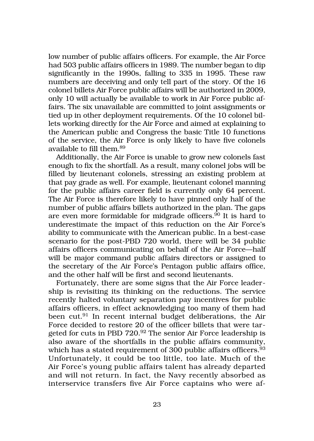low number of public affairs officers. For example, the Air Force had 503 public affairs officers in 1989. The number began to dip significantly in the 1990s, falling to 335 in 1995. These raw numbers are deceiving and only tell part of the story. Of the 16 colonel billets Air Force public affairs will be authorized in 2009, only 10 will actually be available to work in Air Force public affairs. The six unavailable are committed to joint assignments or tied up in other deployment requirements. Of the 10 colonel billets working directly for the Air Force and aimed at explaining to the American public and Congress the basic Title 10 functions of the service, the Air Force is only likely to have five colonels available to fill them.89

Additionally, the Air Force is unable to grow new colonels fast enough to fix the shortfall. As a result, many colonel jobs will be filled by lieutenant colonels, stressing an existing problem at that pay grade as well. For example, lieutenant colonel manning for the public affairs career field is currently only 64 percent. The Air Force is therefore likely to have pinned only half of the number of public affairs billets authorized in the plan. The gaps are even more formidable for midgrade officers.90 It is hard to underestimate the impact of this reduction on the Air Force's ability to communicate with the American public. In a best-case scenario for the post-PBD 720 world, there will be 34 public affairs officers communicating on behalf of the Air Force—half will be major command public affairs directors or assigned to the secretary of the Air Force's Pentagon public affairs office, and the other half will be first and second lieutenants.

Fortunately, there are some signs that the Air Force leadership is revisiting its thinking on the reductions. The service recently halted voluntary separation pay incentives for public affairs officers, in effect acknowledging too many of them had been cut.<sup>91</sup> In recent internal budget deliberations, the Air Force decided to restore 20 of the officer billets that were targeted for cuts in PBD 720.<sup>92</sup> The senior Air Force leadership is also aware of the shortfalls in the public affairs community, which has a stated requirement of  $300$  public affairs officers.<sup>93</sup> Unfortunately, it could be too little, too late. Much of the Air Force's young public affairs talent has already departed and will not return. In fact, the Navy recently absorbed as interservice transfers five Air Force captains who were af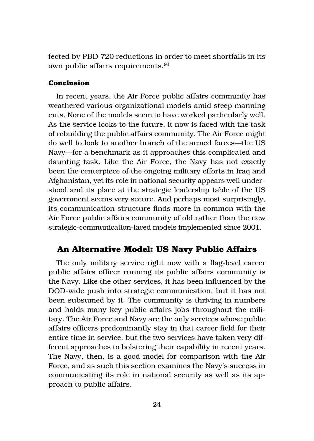fected by PBD 720 reductions in order to meet shortfalls in its own public affairs requirements.<sup>94</sup>

#### **Conclusion**

In recent years, the Air Force public affairs community has weathered various organizational models amid steep manning cuts. None of the models seem to have worked particularly well. As the service looks to the future, it now is faced with the task of rebuilding the public affairs community. The Air Force might do well to look to another branch of the armed forces—the US Navy—for a benchmark as it approaches this complicated and daunting task. Like the Air Force, the Navy has not exactly been the centerpiece of the ongoing military efforts in Iraq and Afghanistan, yet its role in national security appears well understood and its place at the strategic leadership table of the US government seems very secure. And perhaps most surprisingly, its communication structure finds more in common with the Air Force public affairs community of old rather than the new strategic-communication-laced models implemented since 2001.

# **An Alternative Model: US Navy Public Affairs**

The only military service right now with a flag-level career public affairs officer running its public affairs community is the Navy. Like the other services, it has been influenced by the DOD-wide push into strategic communication, but it has not been subsumed by it. The community is thriving in numbers and holds many key public affairs jobs throughout the military. The Air Force and Navy are the only services whose public affairs officers predominantly stay in that career field for their entire time in service, but the two services have taken very different approaches to bolstering their capability in recent years. The Navy, then, is a good model for comparison with the Air Force, and as such this section examines the Navy's success in communicating its role in national security as well as its approach to public affairs.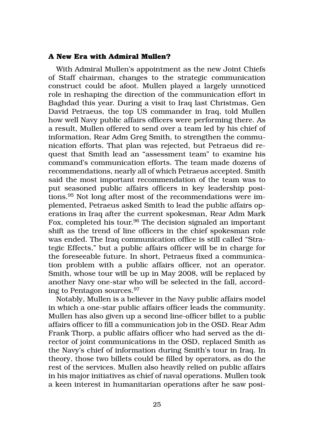#### **A New Era with Admiral Mullen?**

With Admiral Mullen's appointment as the new Joint Chiefs of Staff chairman, changes to the strategic communication construct could be afoot. Mullen played a largely unnoticed role in reshaping the direction of the communication effort in Baghdad this year. During a visit to Iraq last Christmas, Gen David Petraeus, the top US commander in Iraq, told Mullen how well Navy public affairs officers were performing there. As a result, Mullen offered to send over a team led by his chief of information, Rear Adm Greg Smith, to strengthen the communication efforts. That plan was rejected, but Petraeus did request that Smith lead an "assessment team" to examine his command's communication efforts. The team made dozens of recommendations, nearly all of which Petraeus accepted. Smith said the most important recommendation of the team was to put seasoned public affairs officers in key leadership positions.95 Not long after most of the recommendations were implemented, Petraeus asked Smith to lead the public affairs operations in Iraq after the current spokesman, Rear Adm Mark Fox, completed his tour.<sup>96</sup> The decision signaled an important shift as the trend of line officers in the chief spokesman role was ended. The Iraq communication office is still called "Strategic Effects," but a public affairs officer will be in charge for the foreseeable future. In short, Petraeus fixed a communication problem with a public affairs officer, not an operator. Smith, whose tour will be up in May 2008, will be replaced by another Navy one-star who will be selected in the fall, according to Pentagon sources.97

Notably, Mullen is a believer in the Navy public affairs model in which a one-star public affairs officer leads the community. Mullen has also given up a second line-officer billet to a public affairs officer to fill a communication job in the OSD. Rear Adm Frank Thorp, a public affairs officer who had served as the director of joint communications in the OSD, replaced Smith as the Navy's chief of information during Smith's tour in Iraq. In theory, those two billets could be filled by operators, as do the rest of the services. Mullen also heavily relied on public affairs in his major initiatives as chief of naval operations. Mullen took a keen interest in humanitarian operations after he saw posi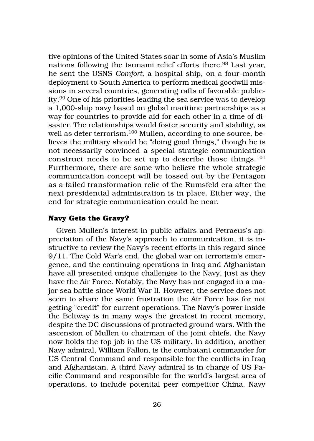tive opinions of the United States soar in some of Asia's Muslim nations following the tsunami relief efforts there.98 Last year, he sent the USNS *Comfort*, a hospital ship, on a four-month deployment to South America to perform medical goodwill missions in several countries, generating rafts of favorable publicity.99 One of his priorities leading the sea service was to develop a 1,000-ship navy based on global maritime partnerships as a way for countries to provide aid for each other in a time of disaster. The relationships would foster security and stability, as well as deter terrorism.<sup>100</sup> Mullen, according to one source, believes the military should be "doing good things," though he is not necessarily convinced a special strategic communication construct needs to be set up to describe those things.101 Furthermore, there are some who believe the whole strategic communication concept will be tossed out by the Pentagon as a failed transformation relic of the Rumsfeld era after the next presidential administration is in place. Either way, the end for strategic communication could be near.

#### **Navy Gets the Gravy?**

Given Mullen's interest in public affairs and Petraeus's appreciation of the Navy's approach to communication, it is instructive to review the Navy's recent efforts in this regard since 9/11. The Cold War's end, the global war on terrorism's emergence, and the continuing operations in Iraq and Afghanistan have all presented unique challenges to the Navy, just as they have the Air Force. Notably, the Navy has not engaged in a major sea battle since World War II. However, the service does not seem to share the same frustration the Air Force has for not getting "credit" for current operations. The Navy's power inside the Beltway is in many ways the greatest in recent memory, despite the DC discussions of protracted ground wars. With the ascension of Mullen to chairman of the joint chiefs, the Navy now holds the top job in the US military. In addition, another Navy admiral, William Fallon, is the combatant commander for US Central Command and responsible for the conflicts in Iraq and Afghanistan. A third Navy admiral is in charge of US Pacific Command and responsible for the world's largest area of operations, to include potential peer competitor China. Navy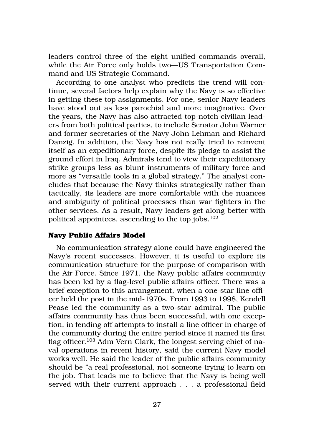leaders control three of the eight unified commands overall, while the Air Force only holds two—US Transportation Command and US Strategic Command.

According to one analyst who predicts the trend will continue, several factors help explain why the Navy is so effective in getting these top assignments. For one, senior Navy leaders have stood out as less parochial and more imaginative. Over the years, the Navy has also attracted top-notch civilian leaders from both political parties, to include Senator John Warner and former secretaries of the Navy John Lehman and Richard Danzig. In addition, the Navy has not really tried to reinvent itself as an expeditionary force, despite its pledge to assist the ground effort in Iraq. Admirals tend to view their expeditionary strike groups less as blunt instruments of military force and more as "versatile tools in a global strategy." The analyst concludes that because the Navy thinks strategically rather than tactically, its leaders are more comfortable with the nuances and ambiguity of political processes than war fighters in the other services. As a result, Navy leaders get along better with political appointees, ascending to the top jobs.102

#### **Navy Public Affairs Model**

No communication strategy alone could have engineered the Navy's recent successes. However, it is useful to explore its communication structure for the purpose of comparison with the Air Force. Since 1971, the Navy public affairs community has been led by a flag-level public affairs officer. There was a brief exception to this arrangement, when a one-star line officer held the post in the mid-1970s. From 1993 to 1998, Kendell Pease led the community as a two-star admiral. The public affairs community has thus been successful, with one exception, in fending off attempts to install a line officer in charge of the community during the entire period since it named its first flag officer.<sup>103</sup> Adm Vern Clark, the longest serving chief of naval operations in recent history, said the current Navy model works well. He said the leader of the public affairs community should be "a real professional, not someone trying to learn on the job. That leads me to believe that the Navy is being well served with their current approach . . . a professional field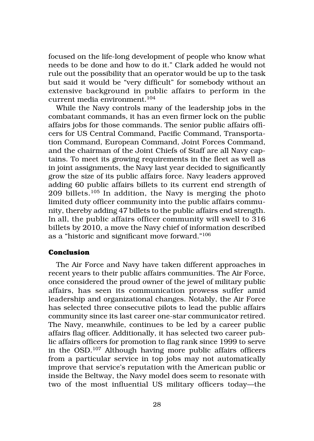focused on the life-long development of people who know what needs to be done and how to do it." Clark added he would not rule out the possibility that an operator would be up to the task but said it would be "very difficult" for somebody without an extensive background in public affairs to perform in the current media environment.104

While the Navy controls many of the leadership jobs in the combatant commands, it has an even firmer lock on the public affairs jobs for those commands. The senior public affairs officers for US Central Command, Pacific Command, Transportation Command, European Command, Joint Forces Command, and the chairman of the Joint Chiefs of Staff are all Navy captains. To meet its growing requirements in the fleet as well as in joint assignments, the Navy last year decided to significantly grow the size of its public affairs force. Navy leaders approved adding 60 public affairs billets to its current end strength of 209 billets.105 In addition, the Navy is merging the photo limited duty officer community into the public affairs community, thereby adding 47 billets to the public affairs end strength. In all, the public affairs officer community will swell to 316 billets by 2010, a move the Navy chief of information described as a "historic and significant move forward."106

#### **Conclusion**

The Air Force and Navy have taken different approaches in recent years to their public affairs communities. The Air Force, once considered the proud owner of the jewel of military public affairs, has seen its communication prowess suffer amid leadership and organizational changes. Notably, the Air Force has selected three consecutive pilots to lead the public affairs community since its last career one-star communicator retired. The Navy, meanwhile, continues to be led by a career public affairs flag officer. Additionally, it has selected two career public affairs officers for promotion to flag rank since 1999 to serve in the OSD.107 Although having more public affairs officers from a particular service in top jobs may not automatically improve that service's reputation with the American public or inside the Beltway, the Navy model does seem to resonate with two of the most influential US military officers today—the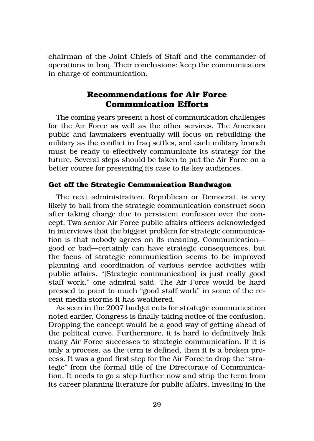chairman of the Joint Chiefs of Staff and the commander of operations in Iraq. Their conclusions: keep the communicators in charge of communication.

# **Recommendations for Air Force Communication Efforts**

The coming years present a host of communication challenges for the Air Force as well as the other services. The American public and lawmakers eventually will focus on rebuilding the military as the conflict in Iraq settles, and each military branch must be ready to effectively communicate its strategy for the future. Several steps should be taken to put the Air Force on a better course for presenting its case to its key audiences.

#### **Get off the Strategic Communication Bandwagon**

The next administration, Republican or Democrat, is very likely to bail from the strategic communication construct soon after taking charge due to persistent confusion over the concept. Two senior Air Force public affairs officers acknowledged in interviews that the biggest problem for strategic communication is that nobody agrees on its meaning. Communication good or bad—certainly can have strategic consequences, but the focus of strategic communication seems to be improved planning and coordination of various service activities with public affairs. "[Strategic communication] is just really good staff work," one admiral said. The Air Force would be hard pressed to point to much "good staff work" in some of the recent media storms it has weathered.

As seen in the 2007 budget cuts for strategic communication noted earlier, Congress is finally taking notice of the confusion. Dropping the concept would be a good way of getting ahead of the political curve. Furthermore, it is hard to definitively link many Air Force successes to strategic communication. If it is only a process, as the term is defined, then it is a broken process. It was a good first step for the Air Force to drop the "strategic" from the formal title of the Directorate of Communication. It needs to go a step further now and strip the term from its career planning literature for public affairs. Investing in the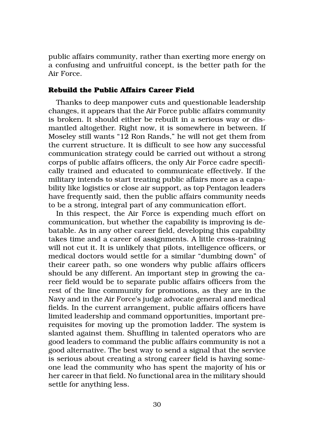public affairs community, rather than exerting more energy on a confusing and unfruitful concept, is the better path for the Air Force.

#### **Rebuild the Public Affairs Career Field**

Thanks to deep manpower cuts and questionable leadership changes, it appears that the Air Force public affairs community is broken. It should either be rebuilt in a serious way or dismantled altogether. Right now, it is somewhere in between. If Moseley still wants "12 Ron Rands," he will not get them from the current structure. It is difficult to see how any successful communication strategy could be carried out without a strong corps of public affairs officers, the only Air Force cadre specifically trained and educated to communicate effectively. If the military intends to start treating public affairs more as a capability like logistics or close air support, as top Pentagon leaders have frequently said, then the public affairs community needs to be a strong, integral part of any communication effort.

In this respect, the Air Force is expending much effort on communication, but whether the capability is improving is debatable. As in any other career field, developing this capability takes time and a career of assignments. A little cross-training will not cut it. It is unlikely that pilots, intelligence officers, or medical doctors would settle for a similar "dumbing down" of their career path, so one wonders why public affairs officers should be any different. An important step in growing the career field would be to separate public affairs officers from the rest of the line community for promotions, as they are in the Navy and in the Air Force's judge advocate general and medical fields. In the current arrangement, public affairs officers have limited leadership and command opportunities, important prerequisites for moving up the promotion ladder. The system is slanted against them. Shuffling in talented operators who are good leaders to command the public affairs community is not a good alternative. The best way to send a signal that the service is serious about creating a strong career field is having someone lead the community who has spent the majority of his or her career in that field. No functional area in the military should settle for anything less.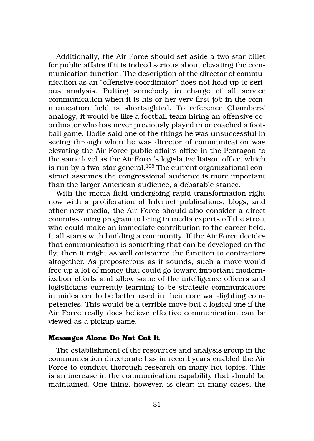Additionally, the Air Force should set aside a two-star billet for public affairs if it is indeed serious about elevating the communication function. The description of the director of communication as an "offensive coordinator" does not hold up to serious analysis. Putting somebody in charge of all service communication when it is his or her very first job in the communication field is shortsighted. To reference Chambers' analogy, it would be like a football team hiring an offensive coordinator who has never previously played in or coached a football game. Bodie said one of the things he was unsuccessful in seeing through when he was director of communication was elevating the Air Force public affairs office in the Pentagon to the same level as the Air Force's legislative liaison office, which is run by a two-star general.<sup>108</sup> The current organizational construct assumes the congressional audience is more important than the larger American audience, a debatable stance.

With the media field undergoing rapid transformation right now with a proliferation of Internet publications, blogs, and other new media, the Air Force should also consider a direct commissioning program to bring in media experts off the street who could make an immediate contribution to the career field. It all starts with building a community. If the Air Force decides that communication is something that can be developed on the fly, then it might as well outsource the function to contractors altogether. As preposterous as it sounds, such a move would free up a lot of money that could go toward important modernization efforts and allow some of the intelligence officers and logisticians currently learning to be strategic communicators in midcareer to be better used in their core war-fighting competencies. This would be a terrible move but a logical one if the Air Force really does believe effective communication can be viewed as a pickup game.

#### **Messages Alone Do Not Cut It**

The establishment of the resources and analysis group in the communication directorate has in recent years enabled the Air Force to conduct thorough research on many hot topics. This is an increase in the communication capability that should be maintained. One thing, however, is clear: in many cases, the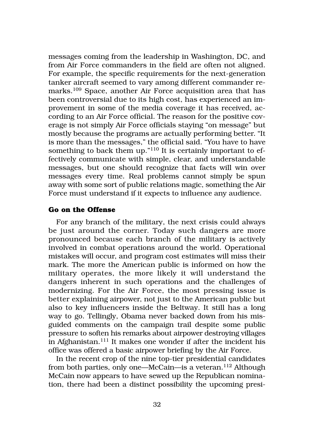messages coming from the leadership in Washington, DC, and from Air Force commanders in the field are often not aligned. For example, the specific requirements for the next-generation tanker aircraft seemed to vary among different commander remarks.109 Space, another Air Force acquisition area that has been controversial due to its high cost, has experienced an improvement in some of the media coverage it has received, according to an Air Force official. The reason for the positive coverage is not simply Air Force officials staying "on message" but mostly because the programs are actually performing better. "It is more than the messages," the official said. "You have to have something to back them up."<sup>110</sup> It is certainly important to effectively communicate with simple, clear, and understandable messages, but one should recognize that facts will win over messages every time. Real problems cannot simply be spun away with some sort of public relations magic, something the Air Force must understand if it expects to influence any audience.

#### **Go on the Offense**

For any branch of the military, the next crisis could always be just around the corner. Today such dangers are more pronounced because each branch of the military is actively involved in combat operations around the world. Operational mistakes will occur, and program cost estimates will miss their mark. The more the American public is informed on how the military operates, the more likely it will understand the dangers inherent in such operations and the challenges of modernizing. For the Air Force, the most pressing issue is better explaining airpower, not just to the American public but also to key influencers inside the Beltway. It still has a long way to go. Tellingly, Obama never backed down from his misguided comments on the campaign trail despite some public pressure to soften his remarks about airpower destroying villages in Afghanistan.111 It makes one wonder if after the incident his office was offered a basic airpower briefing by the Air Force.

In the recent crop of the nine top-tier presidential candidates from both parties, only one—McCain—is a veteran.112 Although McCain now appears to have sewed up the Republican nomination, there had been a distinct possibility the upcoming presi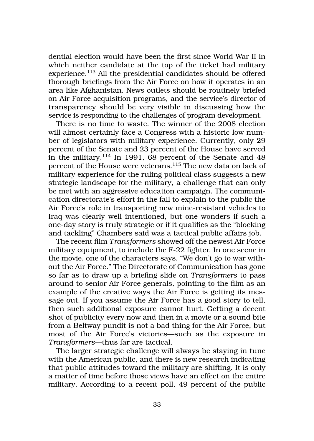dential election would have been the first since World War II in which neither candidate at the top of the ticket had military experience.113 All the presidential candidates should be offered thorough briefings from the Air Force on how it operates in an area like Afghanistan. News outlets should be routinely briefed on Air Force acquisition programs, and the service's director of transparency should be very visible in discussing how the service is responding to the challenges of program development.

There is no time to waste. The winner of the 2008 election will almost certainly face a Congress with a historic low number of legislators with military experience. Currently, only 29 percent of the Senate and 23 percent of the House have served in the military.114 In 1991, 68 percent of the Senate and 48 percent of the House were veterans.115 The new data on lack of military experience for the ruling political class suggests a new strategic landscape for the military, a challenge that can only be met with an aggressive education campaign. The communication directorate's effort in the fall to explain to the public the Air Force's role in transporting new mine-resistant vehicles to Iraq was clearly well intentioned, but one wonders if such a one-day story is truly strategic or if it qualifies as the "blocking and tackling" Chambers said was a tactical public affairs job.

The recent film *Transformers* showed off the newest Air Force military equipment, to include the F-22 fighter. In one scene in the movie, one of the characters says, "We don't go to war without the Air Force." The Directorate of Communication has gone so far as to draw up a briefing slide on *Transformers* to pass around to senior Air Force generals, pointing to the film as an example of the creative ways the Air Force is getting its message out. If you assume the Air Force has a good story to tell, then such additional exposure cannot hurt. Getting a decent shot of publicity every now and then in a movie or a sound bite from a Beltway pundit is not a bad thing for the Air Force, but most of the Air Force's victories—such as the exposure in *Transformers*—thus far are tactical.

The larger strategic challenge will always be staying in tune with the American public, and there is new research indicating that public attitudes toward the military are shifting. It is only a matter of time before those views have an effect on the entire military. According to a recent poll, 49 percent of the public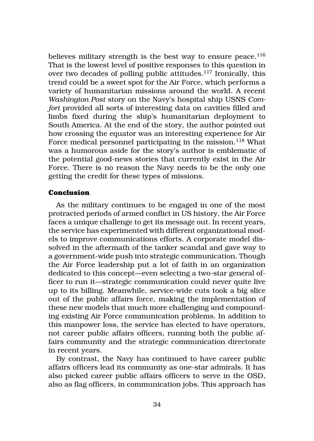believes military strength is the best way to ensure peace.<sup>116</sup> That is the lowest level of positive responses to this question in over two decades of polling public attitudes.117 Ironically, this trend could be a sweet spot for the Air Force, which performs a variety of humanitarian missions around the world. A recent *Washington Post* story on the Navy's hospital ship USNS *Comfort* provided all sorts of interesting data on cavities filled and limbs fixed during the ship's humanitarian deployment to South America. At the end of the story, the author pointed out how crossing the equator was an interesting experience for Air Force medical personnel participating in the mission.<sup>118</sup> What was a humorous aside for the story's author is emblematic of the potential good-news stories that currently exist in the Air Force. There is no reason the Navy needs to be the only one getting the credit for these types of missions.

#### **Conclusion**

As the military continues to be engaged in one of the most protracted periods of armed conflict in US history, the Air Force faces a unique challenge to get its message out. In recent years, the service has experimented with different organizational models to improve communications efforts. A corporate model dissolved in the aftermath of the tanker scandal and gave way to a government-wide push into strategic communication. Though the Air Force leadership put a lot of faith in an organization dedicated to this concept—even selecting a two-star general officer to run it—strategic communication could never quite live up to its billing. Meanwhile, service-wide cuts took a big slice out of the public affairs force, making the implementation of these new models that much more challenging and compounding existing Air Force communication problems. In addition to this manpower loss, the service has elected to have operators, not career public affairs officers, running both the public affairs community and the strategic communication directorate in recent years.

By contrast, the Navy has continued to have career public affairs officers lead its community as one-star admirals. It has also picked career public affairs officers to serve in the OSD, also as flag officers, in communication jobs. This approach has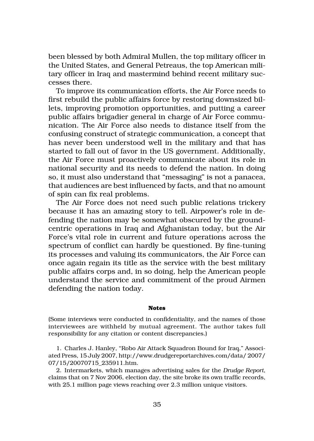been blessed by both Admiral Mullen, the top military officer in the United States, and General Petreaus, the top American military officer in Iraq and mastermind behind recent military successes there.

To improve its communication efforts, the Air Force needs to first rebuild the public affairs force by restoring downsized billets, improving promotion opportunities, and putting a career public affairs brigadier general in charge of Air Force communication. The Air Force also needs to distance itself from the confusing construct of strategic communication, a concept that has never been understood well in the military and that has started to fall out of favor in the US government. Additionally, the Air Force must proactively communicate about its role in national security and its needs to defend the nation. In doing so, it must also understand that "messaging" is not a panacea, that audiences are best influenced by facts, and that no amount of spin can fix real problems.

The Air Force does not need such public relations trickery because it has an amazing story to tell. Airpower's role in defending the nation may be somewhat obscured by the groundcentric operations in Iraq and Afghanistan today, but the Air Force's vital role in current and future operations across the spectrum of conflict can hardly be questioned. By fine-tuning its processes and valuing its communicators, the Air Force can once again regain its title as the service with the best military public affairs corps and, in so doing, help the American people understand the service and commitment of the proud Airmen defending the nation today.

#### **Notes**

(Some interviews were conducted in confidentiality, and the names of those interviewees are withheld by mutual agreement. The author takes full responsibility for any citation or content discrepancies.)

1. Charles J. Hanley, "Robo Air Attack Squadron Bound for Iraq," Associated Press, 15 July 2007, http://www.drudgereportarchives.com/data/ 2007/ 07/15/20070715\_235911.htm.

2. Intermarkets, which manages advertising sales for the *Drudge Report*, claims that on 7 Nov 2006, election day, the site broke its own traffic records, with 25.1 million page views reaching over 2.3 million unique visitors.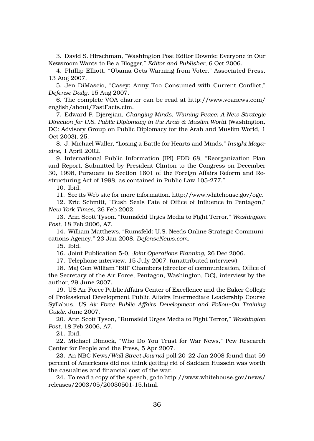3. David S. Hirschman, "Washington Post Editor Downie: Everyone in Our Newsroom Wants to Be a Blogger," *Editor and Publisher*, 6 Oct 2006.

4. Phillip Elliott, "Obama Gets Warning from Voter," Associated Press, 13 Aug 2007.

5. Jen DiMascio, "Casey: Army Too Consumed with Current Conflict," *Defense Daily*, 15 Aug 2007.

6. The complete VOA charter can be read at http://www.voanews.com/ english/about/FastFacts.cfm.

7. Edward P. Djerejian, *Changing Minds, Winning Peace: A New Strategic Direction for U.S. Public Diplomacy in the Arab & Muslim World* (Washington, DC: Advisory Group on Public Diplomacy for the Arab and Muslim World, 1 Oct 2003), 25.

8. J. Michael Waller, "Losing a Battle for Hearts and Minds," *Insight Magazine*, 1 April 2002.

9. International Public Information (IPI) PDD 68, "Reorganization Plan and Report, Submitted by President Clinton to the Congress on December 30, 1998, Pursuant to Section 1601 of the Foreign Affairs Reform and Restructuring Act of 1998, as contained in Public Law 105-277."

10. Ibid.

11. See its Web site for more information, http://www.whitehouse.gov/ogc.

12. Eric Schmitt, "Bush Seals Fate of Office of Influence in Pentagon," *New York Times*, 26 Feb 2002.

13. Ann Scott Tyson, "Rumsfeld Urges Media to Fight Terror," *Washington Post*, 18 Feb 2006, A7.

14. William Matthews, "Rumsfeld: U.S. Needs Online Strategic Communications Agency," 23 Jan 2008, *DefenseNews.com*.

15. Ibid.

16. Joint Publication 5-0, *Joint Operations Planning*, 26 Dec 2006.

17. Telephone interview, 15 July 2007. (unattributed interview)

18. Maj Gen William "Bill" Chambers (director of communication, Office of the Secretary of the Air Force, Pentagon, Washington, DC), interview by the author, 29 June 2007.

19. US Air Force Public Affairs Center of Excellence and the Eaker College of Professional Development Public Affairs Intermediate Leadership Course Syllabus, *US Air Force Public Affairs Development and Follow-On Training Guide*, June 2007.

20. Ann Scott Tyson, "Rumsfeld Urges Media to Fight Terror," *Washington Post*, 18 Feb 2006, A7.

21. Ibid.

22. Michael Dimock, "Who Do You Trust for War News," Pew Research Center for People and the Press, 5 Apr 2007.

23. An NBC News/*Wall Street Journal* poll 20–22 Jan 2008 found that 59 percent of Americans did not think getting rid of Saddam Hussein was worth the casualties and financial cost of the war.

24. To read a copy of the speech, go to http://www.whitehouse.gov/news/ releases/2003/05/20030501-15.html.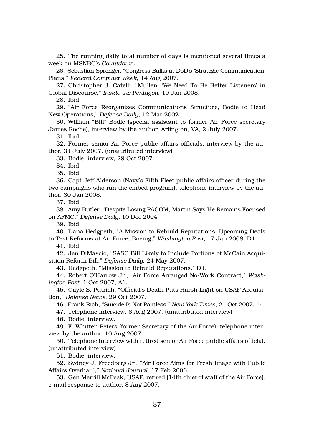25. The running daily total number of days is mentioned several times a week on MSNBC's *Countdown*.

26. Sebastian Sprenger, "Congress Balks at DoD's 'Strategic Communication' Plans," *Federal Computer Week*, 14 Aug 2007.

27. Christopher J. Catelli, "Mullen: 'We Need To Be Better Listeners' in Global Discourse," *Inside the Pentagon*, 10 Jan 2008.

28. Ibid.

29. "Air Force Reorganizes Communications Structure, Bodie to Head New Operations," *Defense Daily*, 12 Mar 2002.

30. William "Bill" Bodie (special assistant to former Air Force secretary James Roche), interview by the author, Arlington, VA, 2 July 2007.

31. Ibid.

32. Former senior Air Force public affairs officials, interview by the author, 31 July 2007. (unattributed interview)

33. Bodie, interview, 29 Oct 2007.

34. Ibid.

35. Ibid.

36. Capt Jeff Alderson (Navy's Fifth Fleet public affairs officer during the two campaigns who ran the embed program), telephone interview by the author, 30 Jan 2008.

37. Ibid.

38. Amy Butler, "Despite Losing PACOM, Martin Says He Remains Focused on AFMC," *Defense Daily*, 10 Dec 2004.

39. Ibid.

40. Dana Hedgpeth, "A Mission to Rebuild Reputations: Upcoming Deals to Test Reforms at Air Force, Boeing," *Washington Post*, 17 Jan 2008, D1. 41. Ibid.

42. Jen DiMascio, "SASC Bill Likely to Include Portions of McCain Acquisition Reform Bill," *Defense Daily*, 24 May 2007.

43. Hedgpeth, "Mission to Rebuild Reputations," D1.

44. Robert O'Harrow Jr., "Air Force Arranged No-Work Contract," *Washington Post*, 1 Oct 2007, A1.

45. Gayle S. Putrich, "Official's Death Puts Harsh Light on USAF Acquisition," *Defense News*, 29 Oct 2007.

46. Frank Rich, "Suicide Is Not Painless," *New York Times*, 21 Oct 2007, 14.

47. Telephone interview, 6 Aug 2007. (unattributed interview)

48. Bodie, interview.

49. F. Whitten Peters (former Secretary of the Air Force), telephone interview by the author, 10 Aug 2007.

50. Telephone interview with retired senior Air Force public affairs official. (unattributed interview)

51. Bodie, interview.

52. Sydney J. Freedberg Jr., "Air Force Aims for Fresh Image with Public Affairs Overhaul," *National Journal*, 17 Feb 2006.

53. Gen Merrill McPeak, USAF, retired (14th chief of staff of the Air Force), e-mail response to author, 8 Aug 2007.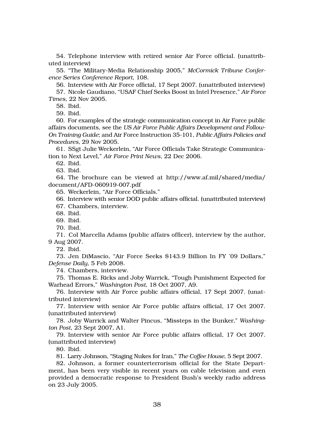54. Telephone interview with retired senior Air Force official. (unattributed interview)

55. "The Military-Media Relationship 2005," *McCormick Tribune Conference Series Conference Report*, 108.

56. Interview with Air Force official, 17 Sept 2007. (unattributed interview)

57. Nicole Gaudiano, "USAF Chief Seeks Boost in Intel Presence," *Air Force Times*, 22 Nov 2005.

58. Ibid.

59. Ibid.

60. For examples of the strategic communication concept in Air Force public affairs documents, see the *US Air Force Public Affairs Development and Follow-On Training Guide*; and Air Force Instruction 35-101, *Public Affairs Policies and Procedures,* 29 Nov 2005.

61. SSgt Julie Weckerlein, "Air Force Officials Take Strategic Communication to Next Level," *Air Force Print News*, 22 Dec 2006.

62. Ibid.

63. Ibid.

64. The brochure can be viewed at http://www.af.mil/shared/media/ document/AFD-060919-007.pdf

65. Weckerlein, "Air Force Officials."

66. Interview with senior DOD public affairs official. (unattributed interview) 67. Chambers, interview.

68. Ibid.

69. Ibid.

70. Ibid.

71. Col Marcella Adams (public affairs officer), interview by the author, 9 Aug 2007.

72. Ibid.

73. Jen DiMascio, "Air Force Seeks \$143.9 Billion In FY '09 Dollars," *Defense Daily*, 5 Feb 2008.

74. Chambers, interview.

75. Thomas E. Ricks and Joby Warrick, "Tough Punishment Expected for Warhead Errors," *Washington Post*, 18 Oct 2007, A9.

76. Interview with Air Force public affairs official, 17 Sept 2007. (unattributed interview)

77. Interview with senior Air Force public affairs official, 17 Oct 2007. (unattributed interview)

78. Joby Warrick and Walter Pincus, "Missteps in the Bunker," *Washington Post*, 23 Sept 2007, A1.

79. Interview with senior Air Force public affairs official, 17 Oct 2007. (unattributed interview)

80. Ibid.

81. Larry Johnson, "Staging Nukes for Iran," *The Coffee House*, 5 Sept 2007.

82. Johnson, a former counterterrorism official for the State Department, has been very visible in recent years on cable television and even provided a democratic response to President Bush's weekly radio address on 23 July 2005.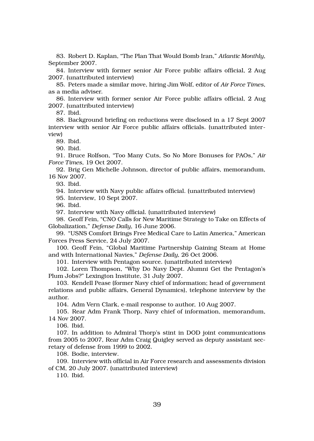83. Robert D. Kaplan, "The Plan That Would Bomb Iran," *Atlantic Monthly*, September 2007.

84. Interview with former senior Air Force public affairs official, 2 Aug 2007. (unattributed interview)

85. Peters made a similar move, hiring Jim Wolf, editor of *Air Force Times*, as a media adviser.

86. Interview with former senior Air Force public affairs official, 2 Aug 2007. (unattributed interview)

87. Ibid.

88. Background briefing on reductions were disclosed in a 17 Sept 2007 interview with senior Air Force public affairs officials. (unattributed interview)

89. Ibid.

90. Ibid.

91. Bruce Rolfson, "Too Many Cuts, So No More Bonuses for PAOs," *Air Force Times*, 19 Oct 2007.

92. Brig Gen Michelle Johnson, director of public affairs, memorandum, 16 Nov 2007.

93. Ibid.

94. Interview with Navy public affairs official. (unattributed interview)

95. Interview, 10 Sept 2007.

96. Ibid.

97. Interview with Navy official. (unattributed interview)

98. Geoff Fein, "CNO Calls for New Maritime Strategy to Take on Effects of Globalization," *Defense Daily*, 16 June 2006.

99. "USNS Comfort Brings Free Medical Care to Latin America," American Forces Press Service, 24 July 2007.

100. Geoff Fein, "Global Maritime Partnership Gaining Steam at Home and with International Navies," *Defense Daily*, 26 Oct 2006.

101. Interview with Pentagon source. (unattributed interview)

102. Loren Thompson, "Why Do Navy Dept. Alumni Get the Pentagon's Plum Jobs?" Lexington Institute, 31 July 2007.

103. Kendell Pease (former Navy chief of information; head of government relations and public affairs, General Dynamics), telephone interview by the author.

104. Adm Vern Clark, e-mail response to author, 10 Aug 2007.

105. Rear Adm Frank Thorp, Navy chief of information, memorandum, 14 Nov 2007.

106. Ibid.

107. In addition to Admiral Thorp's stint in DOD joint communications from 2005 to 2007, Rear Adm Craig Quigley served as deputy assistant secretary of defense from 1999 to 2002.

108. Bodie, interview.

109. Interview with official in Air Force research and assessments division of CM, 20 July 2007. (unattributed interview)

110. Ibid.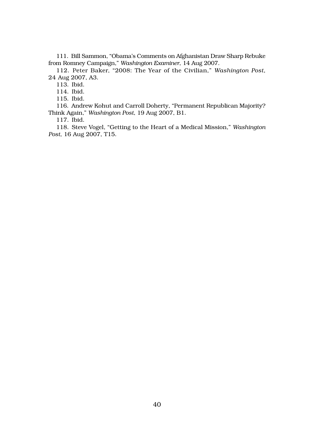111. Bill Sammon, "Obama's Comments on Afghanistan Draw Sharp Rebuke from Romney Campaign," *Washington Examiner*, 14 Aug 2007.

112. Peter Baker, "2008: The Year of the Civilian," *Washington Post*, 24 Aug 2007, A3.

113. Ibid.

114. Ibid.

115. Ibid.

116. Andrew Kohut and Carroll Doherty, "Permanent Republican Majority? Think Again," *Washington Post*, 19 Aug 2007, B1.

117. Ibid.

118. Steve Vogel, "Getting to the Heart of a Medical Mission," *Washington Post*, 16 Aug 2007, T15.